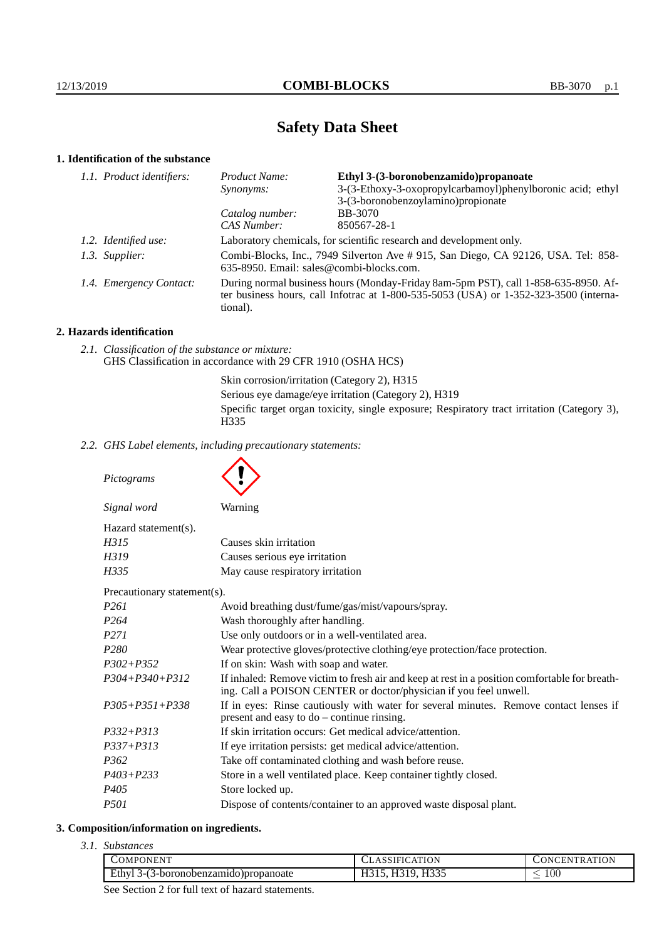# **Safety Data Sheet**

# **1. Identification of the substance**

| 1.1. Product identifiers: | <b>Product Name:</b>                                                                                                                                                                        | Ethyl 3-(3-boronobenzamido) propanoate                     |  |
|---------------------------|---------------------------------------------------------------------------------------------------------------------------------------------------------------------------------------------|------------------------------------------------------------|--|
|                           | <i>Synonyms:</i>                                                                                                                                                                            | 3-(3-Ethoxy-3-oxopropylcarbamoyl)phenylboronic acid; ethyl |  |
|                           |                                                                                                                                                                                             | 3-(3-boronobenzoylamino) propionate                        |  |
|                           | Catalog number:                                                                                                                                                                             | <b>BB-3070</b>                                             |  |
|                           | <b>CAS Number:</b>                                                                                                                                                                          | 850567-28-1                                                |  |
| 1.2. Identified use:      | Laboratory chemicals, for scientific research and development only.                                                                                                                         |                                                            |  |
| 1.3. Supplier:            | Combi-Blocks, Inc., 7949 Silverton Ave # 915, San Diego, CA 92126, USA. Tel: 858-<br>$635-8950$ . Email: sales@combi-blocks.com.                                                            |                                                            |  |
| 1.4. Emergency Contact:   | During normal business hours (Monday-Friday 8am-5pm PST), call 1-858-635-8950. Af-<br>ter business hours, call Infotrac at $1-800-535-5053$ (USA) or $1-352-323-3500$ (interna-<br>tional). |                                                            |  |

#### **2. Hazards identification**

*2.1. Classification of the substance or mixture:* GHS Classification in accordance with 29 CFR 1910 (OSHA HCS)

> Skin corrosion/irritation (Category 2), H315 Serious eye damage/eye irritation (Category 2), H319 Specific target organ toxicity, single exposure; Respiratory tract irritation (Category 3), H335

*2.2. GHS Label elements, including precautionary statements:*

*Pictograms Signal word* Warning Hazard statement(s). *H315* Causes skin irritation *H319* Causes serious eye irritation *H335* May cause respiratory irritation Precautionary statement(s). *P261* Avoid breathing dust/fume/gas/mist/vapours/spray. *P264* Wash thoroughly after handling. *P271* Use only outdoors or in a well-ventilated area. *P280* Wear protective gloves/protective clothing/eye protection/face protection. *P302+P352* If on skin: Wash with soap and water.

*P304+P340+P312* If inhaled: Remove victim to fresh air and keep at rest in a position comfortable for breathing. Call a POISON CENTER or doctor/physician if you feel unwell. *P305+P351+P338* If in eyes: Rinse cautiously with water for several minutes. Remove contact lenses if present and easy to do – continue rinsing. *P332+P313* If skin irritation occurs: Get medical advice/attention. *P337+P313* If eye irritation persists: get medical advice/attention. *P362* Take off contaminated clothing and wash before reuse. *P403+P233* Store in a well ventilated place. Keep container tightly closed. *P405* Store locked up.

*P501* Dispose of contents/container to an approved waste disposal plant.

# **3. Composition/information on ingredients.**

*3.1. Substances*

| ONEN.<br>OMPON                                                  | ATION<br>$\Delta$             | <b>RATION</b><br>JN'<br>ACENT.  |
|-----------------------------------------------------------------|-------------------------------|---------------------------------|
| Ethv.<br>$\cdots$ - horonobenzamigo $\cdots$<br>ropanoate<br>-ר | $T \cap \cap \Gamma$<br>11995 | 100<br>$\overline{\phantom{a}}$ |

See Section 2 for full text of hazard statements.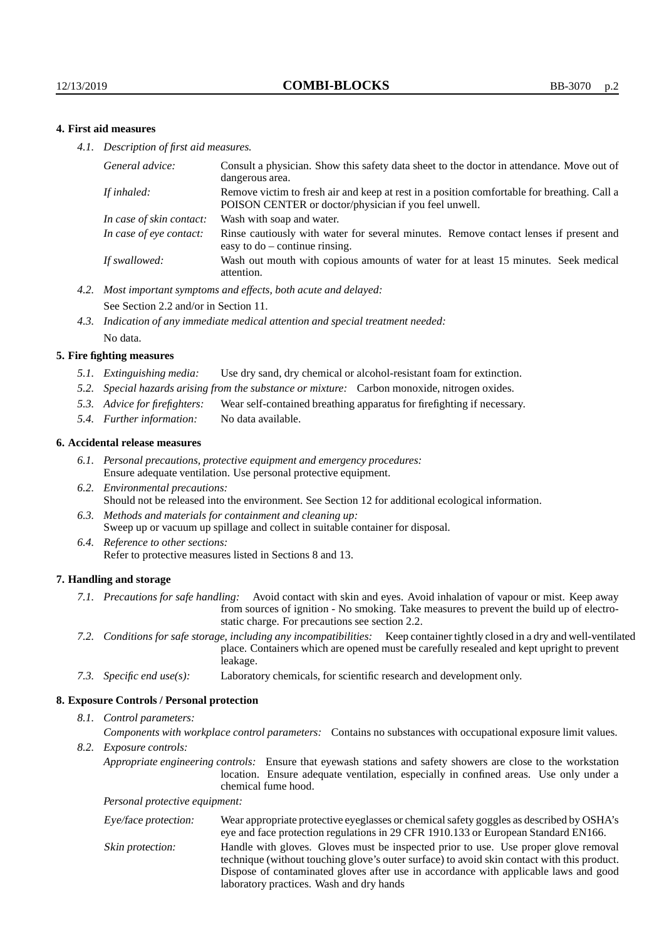### **4. First aid measures**

*4.1. Description of first aid measures.*

| General advice:          | Consult a physician. Show this safety data sheet to the doctor in attendance. Move out of<br>dangerous area.                                         |
|--------------------------|------------------------------------------------------------------------------------------------------------------------------------------------------|
| If inhaled:              | Remove victim to fresh air and keep at rest in a position comfortable for breathing. Call a<br>POISON CENTER or doctor/physician if you feel unwell. |
| In case of skin contact: | Wash with soap and water.                                                                                                                            |
| In case of eve contact:  | Rinse cautiously with water for several minutes. Remove contact lenses if present and<br>easy to $do$ – continue rinsing.                            |
| If swallowed:            | Wash out mouth with copious amounts of water for at least 15 minutes. Seek medical<br>attention.                                                     |

- *4.2. Most important symptoms and effects, both acute and delayed:* See Section 2.2 and/or in Section 11.
- *4.3. Indication of any immediate medical attention and special treatment needed:* No data.

#### **5. Fire fighting measures**

- *5.1. Extinguishing media:* Use dry sand, dry chemical or alcohol-resistant foam for extinction.
- *5.2. Special hazards arising from the substance or mixture:* Carbon monoxide, nitrogen oxides.
- *5.3. Advice for firefighters:* Wear self-contained breathing apparatus for firefighting if necessary.
- *5.4. Further information:* No data available.

#### **6. Accidental release measures**

- *6.1. Personal precautions, protective equipment and emergency procedures:* Ensure adequate ventilation. Use personal protective equipment.
- *6.2. Environmental precautions:* Should not be released into the environment. See Section 12 for additional ecological information.
- *6.3. Methods and materials for containment and cleaning up:* Sweep up or vacuum up spillage and collect in suitable container for disposal.
- *6.4. Reference to other sections:* Refer to protective measures listed in Sections 8 and 13.

#### **7. Handling and storage**

- *7.1. Precautions for safe handling:* Avoid contact with skin and eyes. Avoid inhalation of vapour or mist. Keep away from sources of ignition - No smoking. Take measures to prevent the build up of electrostatic charge. For precautions see section 2.2.
- *7.2. Conditions for safe storage, including any incompatibilities:* Keep container tightly closed in a dry and well-ventilated place. Containers which are opened must be carefully resealed and kept upright to prevent leakage.
- *7.3. Specific end use(s):* Laboratory chemicals, for scientific research and development only.

#### **8. Exposure Controls / Personal protection**

*8.1. Control parameters:*

*Components with workplace control parameters:* Contains no substances with occupational exposure limit values.

*8.2. Exposure controls:*

*Appropriate engineering controls:* Ensure that eyewash stations and safety showers are close to the workstation location. Ensure adequate ventilation, especially in confined areas. Use only under a chemical fume hood.

*Personal protective equipment:*

| Eye/face protection: | Wear appropriate protective eyeglasses or chemical safety goggles as described by OSHA's<br>eye and face protection regulations in 29 CFR 1910.133 or European Standard EN166.                                                                                                                                         |
|----------------------|------------------------------------------------------------------------------------------------------------------------------------------------------------------------------------------------------------------------------------------------------------------------------------------------------------------------|
| Skin protection:     | Handle with gloves. Gloves must be inspected prior to use. Use proper glove removal<br>technique (without touching glove's outer surface) to avoid skin contact with this product.<br>Dispose of contaminated gloves after use in accordance with applicable laws and good<br>laboratory practices. Wash and dry hands |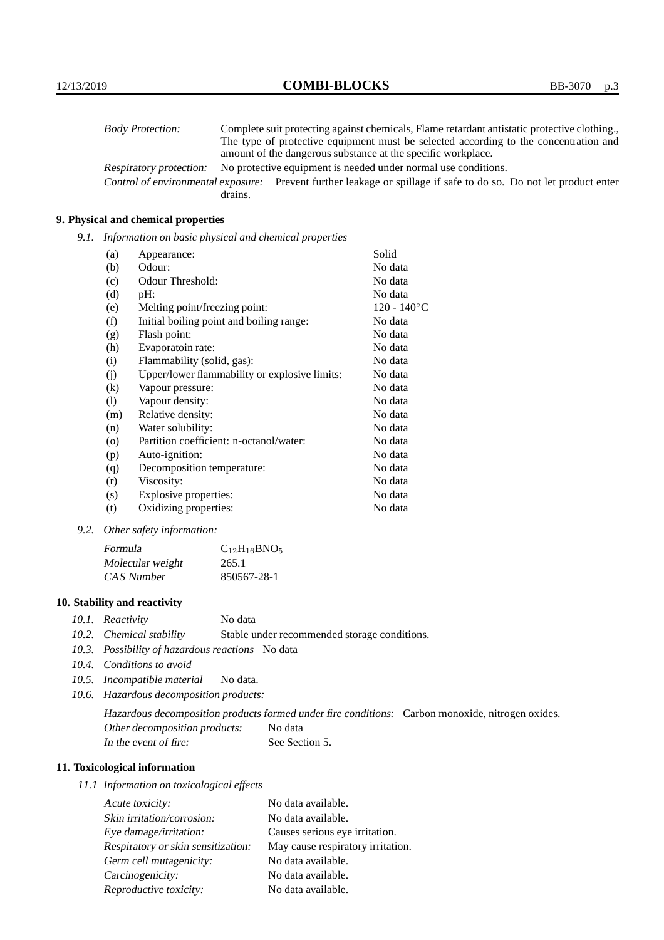| <b>Body Protection:</b> |         | Complete suit protecting against chemicals, Flame retardant antistatic protective clothing.                       |
|-------------------------|---------|-------------------------------------------------------------------------------------------------------------------|
|                         |         | The type of protective equipment must be selected according to the concentration and                              |
|                         |         | amount of the dangerous substance at the specific workplace.                                                      |
| Respiratory protection: |         | No protective equipment is needed under normal use conditions.                                                    |
|                         |         | Control of environmental exposure: Prevent further leakage or spillage if safe to do so. Do not let product enter |
|                         | drains. |                                                                                                                   |

# **9. Physical and chemical properties**

*9.1. Information on basic physical and chemical properties*

| (a)      | Appearance:                                   | Solid                |
|----------|-----------------------------------------------|----------------------|
| (b)      | Odour:                                        | No data              |
| (c)      | Odour Threshold:                              | No data              |
| (d)      | $pH$ :                                        | No data              |
| (e)      | Melting point/freezing point:                 | $120 - 140^{\circ}C$ |
| (f)      | Initial boiling point and boiling range:      | No data              |
| (g)      | Flash point:                                  | No data              |
| (h)      | Evaporatoin rate:                             | No data              |
| (i)      | Flammability (solid, gas):                    | No data              |
| (j)      | Upper/lower flammability or explosive limits: | No data              |
| $\rm(k)$ | Vapour pressure:                              | No data              |
| (1)      | Vapour density:                               | No data              |
| (m)      | Relative density:                             | No data              |
| (n)      | Water solubility:                             | No data              |
| $\circ$  | Partition coefficient: n-octanol/water:       | No data              |
| (p)      | Auto-ignition:                                | No data              |
| (q)      | Decomposition temperature:                    | No data              |
| (r)      | Viscosity:                                    | No data              |
| (s)      | Explosive properties:                         | No data              |
| (t)      | Oxidizing properties:                         | No data              |

*9.2. Other safety information:*

| Formula          | $C_{12}H_{16}BNO_5$ |
|------------------|---------------------|
| Molecular weight | 265.1               |
| CAS Number       | 850567-28-1         |

# **10. Stability and reactivity**

- *10.1. Reactivity* No data
- *10.2. Chemical stability* Stable under recommended storage conditions.
- *10.3. Possibility of hazardous reactions* No data
- *10.4. Conditions to avoid*
- *10.5. Incompatible material* No data.
- *10.6. Hazardous decomposition products:*

Hazardous decomposition products formed under fire conditions: Carbon monoxide, nitrogen oxides. Other decomposition products: No data In the event of fire: See Section 5.

# **11. Toxicological information**

*11.1 Information on toxicological effects*

| Acute toxicity:                    | No data available.                |
|------------------------------------|-----------------------------------|
| Skin irritation/corrosion:         | No data available.                |
| Eye damage/irritation:             | Causes serious eye irritation.    |
| Respiratory or skin sensitization: | May cause respiratory irritation. |
| Germ cell mutagenicity:            | No data available.                |
| Carcinogenicity:                   | No data available.                |
| Reproductive toxicity:             | No data available.                |